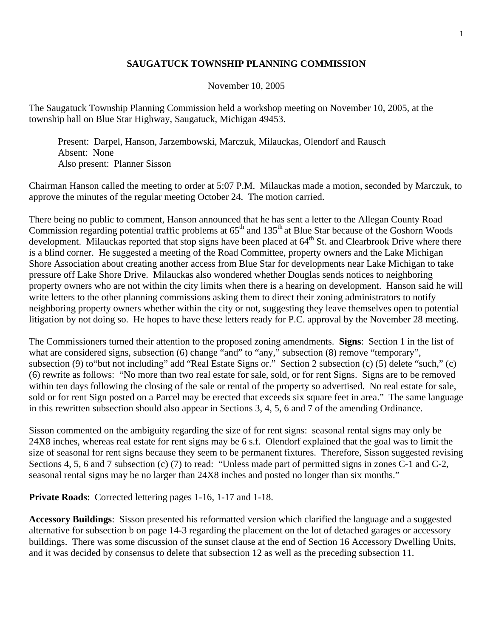## **SAUGATUCK TOWNSHIP PLANNING COMMISSION**

November 10, 2005

The Saugatuck Township Planning Commission held a workshop meeting on November 10, 2005, at the township hall on Blue Star Highway, Saugatuck, Michigan 49453.

 Present: Darpel, Hanson, Jarzembowski, Marczuk, Milauckas, Olendorf and Rausch Absent: None Also present: Planner Sisson

Chairman Hanson called the meeting to order at 5:07 P.M. Milauckas made a motion, seconded by Marczuk, to approve the minutes of the regular meeting October 24. The motion carried.

There being no public to comment, Hanson announced that he has sent a letter to the Allegan County Road Commission regarding potential traffic problems at  $65<sup>th</sup>$  and  $135<sup>th</sup>$  at Blue Star because of the Goshorn Woods development. Milauckas reported that stop signs have been placed at  $64<sup>th</sup>$  St. and Clearbrook Drive where there is a blind corner. He suggested a meeting of the Road Committee, property owners and the Lake Michigan Shore Association about creating another access from Blue Star for developments near Lake Michigan to take pressure off Lake Shore Drive. Milauckas also wondered whether Douglas sends notices to neighboring property owners who are not within the city limits when there is a hearing on development. Hanson said he will write letters to the other planning commissions asking them to direct their zoning administrators to notify neighboring property owners whether within the city or not, suggesting they leave themselves open to potential litigation by not doing so. He hopes to have these letters ready for P.C. approval by the November 28 meeting.

The Commissioners turned their attention to the proposed zoning amendments. **Signs**: Section 1 in the list of what are considered signs, subsection (6) change "and" to "any," subsection (8) remove "temporary", subsection (9) to"but not including" add "Real Estate Signs or." Section 2 subsection (c) (5) delete "such," (c) (6) rewrite as follows: "No more than two real estate for sale, sold, or for rent Signs. Signs are to be removed within ten days following the closing of the sale or rental of the property so advertised. No real estate for sale, sold or for rent Sign posted on a Parcel may be erected that exceeds six square feet in area." The same language in this rewritten subsection should also appear in Sections 3, 4, 5, 6 and 7 of the amending Ordinance.

Sisson commented on the ambiguity regarding the size of for rent signs: seasonal rental signs may only be 24X8 inches, whereas real estate for rent signs may be 6 s.f. Olendorf explained that the goal was to limit the size of seasonal for rent signs because they seem to be permanent fixtures. Therefore, Sisson suggested revising Sections 4, 5, 6 and 7 subsection (c) (7) to read: "Unless made part of permitted signs in zones C-1 and C-2, seasonal rental signs may be no larger than 24X8 inches and posted no longer than six months."

**Private Roads**: Corrected lettering pages 1-16, 1-17 and 1-18.

**Accessory Buildings**: Sisson presented his reformatted version which clarified the language and a suggested alternative for subsection b on page 14-3 regarding the placement on the lot of detached garages or accessory buildings. There was some discussion of the sunset clause at the end of Section 16 Accessory Dwelling Units, and it was decided by consensus to delete that subsection 12 as well as the preceding subsection 11.